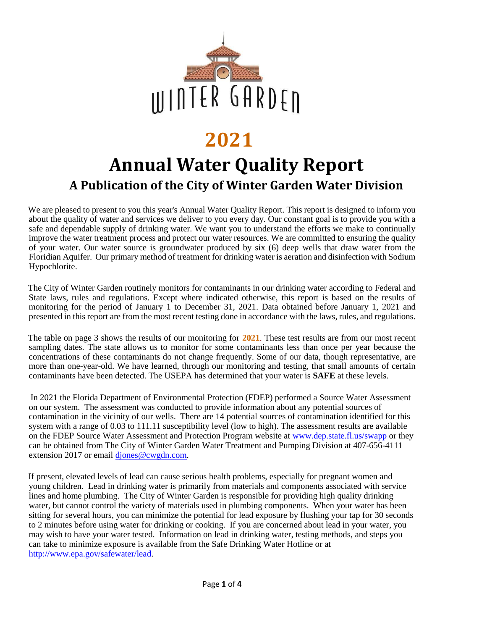

## **2021 Annual Water Quality Report A Publication of the City of Winter Garden Water Division**

We are pleased to present to you this year's Annual Water Quality Report. This report is designed to inform you about the quality of water and services we deliver to you every day. Our constant goal is to provide you with a safe and dependable supply of drinking water. We want you to understand the efforts we make to continually improve the water treatment process and protect our water resources. We are committed to ensuring the quality of your water. Our water source is groundwater produced by six (6) deep wells that draw water from the Floridian Aquifer. Our primary method of treatment for drinking water is aeration and disinfection with Sodium Hypochlorite.

The City of Winter Garden routinely monitors for contaminants in our drinking water according to Federal and State laws, rules and regulations. Except where indicated otherwise, this report is based on the results of monitoring for the period of January 1 to December 31, 2021. Data obtained before January 1, 2021 and presented in this report are from the most recent testing done in accordance with the laws, rules, and regulations.

The table on page 3 shows the results of our monitoring for **2021**. These test results are from our most recent sampling dates. The state allows us to monitor for some contaminants less than once per year because the concentrations of these contaminants do not change frequently. Some of our data, though representative, are more than one-year-old. We have learned, through our monitoring and testing, that small amounts of certain contaminants have been detected. The USEPA has determined that your water is **SAFE** at these levels.

 In 2021 the Florida Department of Environmental Protection (FDEP) performed a Source Water Assessment on our system. The assessment was conducted to provide information about any potential sources of contamination in the vicinity of our wells. There are 14 potential sources of contamination identified for this system with a range of 0.03 to 111.11 susceptibility level (low to high). The assessment results are available on the FDEP Source Water Assessment and Protection Program website at [www.dep.state.fl.us/swapp or](http://www.dep.state.fl.us/swapp) they can be obtained from The City of Winter Garden Water Treatment and Pumping Division at 407-656-4111 extension 2017 or email djones@cwgdn.com.

If present, elevated levels of lead can cause serious health problems, especially for pregnant women and young children. Lead in drinking water is primarily from materials and components associated with service lines and home plumbing. The City of Winter Garden is responsible for providing high quality drinking water, but cannot control the variety of materials used in plumbing components. When your water has been sitting for several hours, you can minimize the potential for lead exposure by flushing your tap for 30 seconds to 2 minutes before using water for drinking or cooking. If you are concerned about lead in your water, you may wish to have your water tested. Information on lead in drinking water, testing methods, and steps you can take to minimize exposure is available from the Safe Drinking Water Hotline or at [http://www.epa.gov/safewater/lead.](http://www.epa.gov/safewater/lead)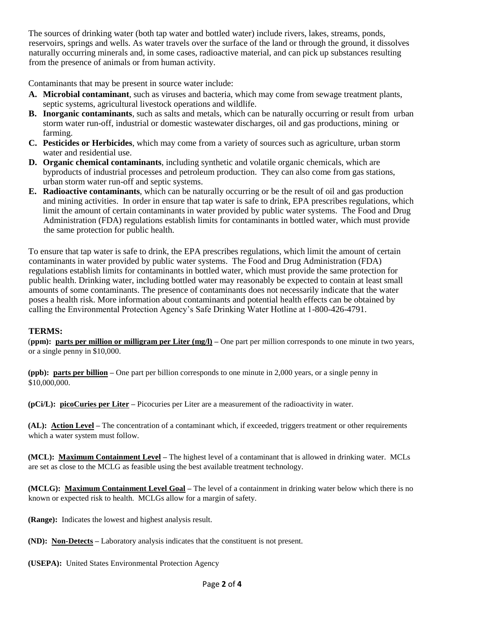The sources of drinking water (both tap water and bottled water) include rivers, lakes, streams, ponds, reservoirs, springs and wells. As water travels over the surface of the land or through the ground, it dissolves naturally occurring minerals and, in some cases, radioactive material, and can pick up substances resulting from the presence of animals or from human activity.

Contaminants that may be present in source water include:

- **A. Microbial contaminant**, such as viruses and bacteria, which may come from sewage treatment plants, septic systems, agricultural livestock operations and wildlife.
- **B. Inorganic contaminants**, such as salts and metals, which can be naturally occurring or result from urban storm water run-off, industrial or domestic wastewater discharges, oil and gas productions, mining or farming.
- **C. Pesticides or Herbicides**, which may come from a variety of sources such as agriculture, urban storm water and residential use.
- **D. Organic chemical contaminants**, including synthetic and volatile organic chemicals, which are byproducts of industrial processes and petroleum production. They can also come from gas stations, urban storm water run-off and septic systems.
- **E. Radioactive contaminants**, which can be naturally occurring or be the result of oil and gas production and mining activities. In order in ensure that tap water is safe to drink, EPA prescribes regulations, which limit the amount of certain contaminants in water provided by public water systems. The Food and Drug Administration (FDA) regulations establish limits for contaminants in bottled water, which must provide the same protection for public health.

To ensure that tap water is safe to drink, the EPA prescribes regulations, which limit the amount of certain contaminants in water provided by public water systems. The Food and Drug Administration (FDA) regulations establish limits for contaminants in bottled water, which must provide the same protection for public health. Drinking water, including bottled water may reasonably be expected to contain at least small amounts of some contaminants. The presence of contaminants does not necessarily indicate that the water poses a health risk. More information about contaminants and potential health effects can be obtained by calling the Environmental Protection Agency's Safe Drinking Water Hotline at 1-800-426-4791.

## **TERMS:**

(**ppm): parts per million or milligram per Liter (mg/l) –** One part per million corresponds to one minute in two years, or a single penny in \$10,000.

**(ppb): parts per billion –** One part per billion corresponds to one minute in 2,000 years, or a single penny in \$10,000,000.

**(pCi/L): picoCuries per Liter –** Picocuries per Liter are a measurement of the radioactivity in water.

**(AL):** Action Level – The concentration of a contaminant which, if exceeded, triggers treatment or other requirements which a water system must follow.

**(MCL): Maximum Containment Level –** The highest level of a contaminant that is allowed in drinking water. MCLs are set as close to the MCLG as feasible using the best available treatment technology.

**(MCLG): Maximum Containment Level Goal –** The level of a containment in drinking water below which there is no known or expected risk to health. MCLGs allow for a margin of safety.

**(Range):** Indicates the lowest and highest analysis result.

**(ND): Non-Detects –** Laboratory analysis indicates that the constituent is not present.

**(USEPA):** United States Environmental Protection Agency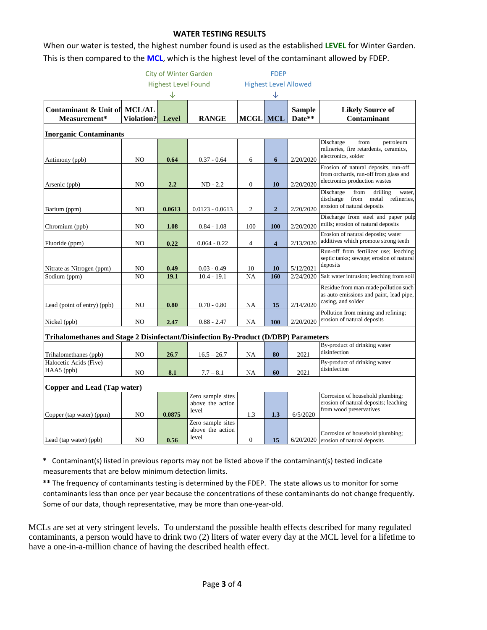## **WATER TESTING RESULTS**

When our water is tested, the highest number found is used as the established **LEVEL** for Winter Garden. This is then compared to the **MCL**, which is the highest level of the contaminant allowed by FDEP.

|                                                                                      | <b>City of Winter Garden</b>     |              |                                                | <b>FDEP</b>                  |                         |                         |                                                                                                                     |
|--------------------------------------------------------------------------------------|----------------------------------|--------------|------------------------------------------------|------------------------------|-------------------------|-------------------------|---------------------------------------------------------------------------------------------------------------------|
|                                                                                      | <b>Highest Level Found</b>       |              |                                                | <b>Highest Level Allowed</b> |                         |                         |                                                                                                                     |
|                                                                                      |                                  | ↓            |                                                |                              | $\downarrow$            |                         |                                                                                                                     |
| Contaminant & Unit of MCL/AL<br>Measurement*                                         | Violation?                       | <b>Level</b> | <b>RANGE</b>                                   | <b>MCGL</b>                  | <b>MCL</b>              | <b>Sample</b><br>Date** | <b>Likely Source of</b><br>Contaminant                                                                              |
| <b>Inorganic Contaminants</b>                                                        |                                  |              |                                                |                              |                         |                         |                                                                                                                     |
| Antimony (ppb)                                                                       | N <sub>O</sub>                   | 0.64         | $0.37 - 0.64$                                  | 6                            | 6                       | 2/20/2020               | Discharge<br>from<br>petroleum<br>refineries, fire retardents, ceramics,<br>electronics, solder                     |
| Arsenic (ppb)                                                                        | NO                               | 2.2          | $ND - 2.2$                                     | $\mathbf{0}$                 | 10                      | 2/20/2020               | Erosion of natural deposits, run-off<br>from orchards, run-off from glass and<br>electronics production wastes      |
| Barium (ppm)                                                                         | NO.                              | 0.0613       | $0.0123 - 0.0613$                              | $\overline{2}$               | $\overline{2}$          | 2/20/2020               | Discharge<br>from<br>drilling<br>water.<br>discharge<br>from<br>metal<br>refineries,<br>erosion of natural deposits |
| Chromium (ppb)                                                                       | N <sub>O</sub>                   | 1.08         | $0.84 - 1.08$                                  | 100                          | 100                     | 2/20/2020               | Discharge from steel and paper pulp<br>mills; erosion of natural deposits                                           |
| Fluoride (ppm)                                                                       | N <sub>O</sub>                   | 0.22         | $0.064 - 0.22$                                 | $\overline{4}$               | $\overline{\mathbf{4}}$ | 2/13/2020               | Erosion of natural deposits; water<br>additives which promote strong teeth                                          |
| Nitrate as Nitrogen (ppm)                                                            | NO                               | 0.49         | $0.03 - 0.49$                                  | 10                           | 10                      | 5/12/2021               | Run-off from fertilizer use; leaching<br>septic tanks; sewage; erosion of natural<br>deposits                       |
| Sodium (ppm)                                                                         | N <sub>O</sub>                   | 19.1         | $10.4 - 19.1$                                  | NA                           | 160                     | 2/24/2020               | Salt water intrusion; leaching from soil                                                                            |
| Lead (point of entry) (ppb)                                                          | NO.                              | 0.80         | $0.70 - 0.80$                                  | NA                           | 15                      | 2/14/2020               | Residue from man-made pollution such<br>as auto emissions and paint, lead pipe,<br>casing, and solder               |
| Nickel (ppb)                                                                         | NO                               | 2.47         | $0.88 - 2.47$                                  | NA                           | 100                     | 2/20/2020               | Pollution from mining and refining;<br>erosion of natural deposits                                                  |
| Trihalomethanes and Stage 2 Disinfectant/Disinfection By-Product (D/DBP) Parameters  |                                  |              |                                                |                              |                         |                         |                                                                                                                     |
|                                                                                      |                                  |              |                                                |                              |                         |                         | By-product of drinking water                                                                                        |
| Trihalomethanes (ppb)<br>Halocetic Acids (Five)<br>HAA5 (ppb)                        | N <sub>O</sub><br>N <sub>O</sub> | 26.7<br>8.1  | $16.5 - 26.7$                                  | NA<br><b>NA</b>              | 80<br>60                | 2021<br>2021            | disinfection<br>By-product of drinking water<br>disinfection                                                        |
|                                                                                      |                                  |              | $7.7 - 8.1$                                    |                              |                         |                         |                                                                                                                     |
| Copper and Lead (Tap water)<br>Corrosion of household plumbing;<br>Zero sample sites |                                  |              |                                                |                              |                         |                         |                                                                                                                     |
| Copper (tap water) (ppm)                                                             | N <sub>O</sub>                   | 0.0875       | above the action<br>level                      | 1.3                          | 1.3                     | 6/5/2020                | erosion of natural deposits; leaching<br>from wood preservatives                                                    |
| Lead (tap water) (ppb)                                                               | NO                               | 0.56         | Zero sample sites<br>above the action<br>level | $\mathbf{0}$                 | 15                      |                         | Corrosion of household plumbing;<br>6/20/2020 erosion of natural deposits                                           |

**\*** Contaminant(s) listed in previous reports may not be listed above if the contaminant(s) tested indicate measurements that are below minimum detection limits.

**\*\*** The frequency of contaminants testing is determined by the FDEP. The state allows us to monitor for some contaminants less than once per year because the concentrations of these contaminants do not change frequently. Some of our data, though representative, may be more than one-year-old.

MCLs are set at very stringent levels. To understand the possible health effects described for many regulated contaminants, a person would have to drink two (2) liters of water every day at the MCL level for a lifetime to have a one-in-a-million chance of having the described health effect.